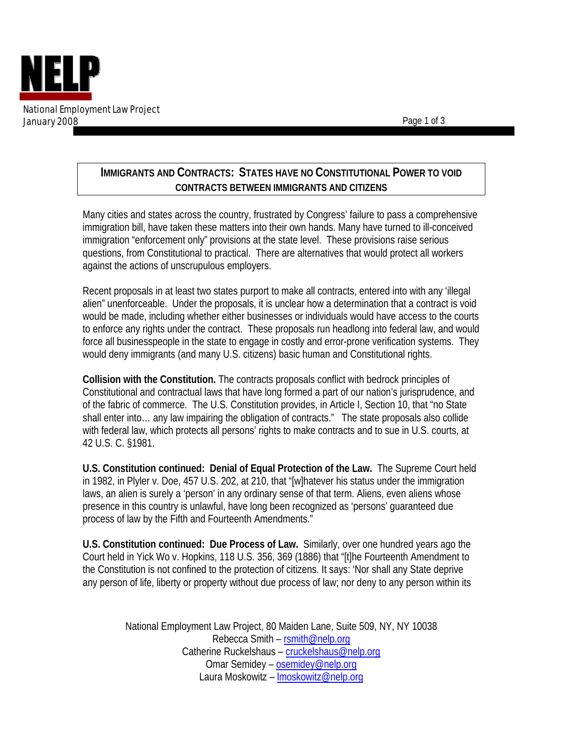

## **IMMIGRANTS AND CONTRACTS: STATES HAVE NO CONSTITUTIONAL POWER TO VOID CONTRACTS BETWEEN IMMIGRANTS AND CITIZENS**

Many cities and states across the country, frustrated by Congress' failure to pass a comprehensive immigration bill, have taken these matters into their own hands. Many have turned to ill-conceived immigration "enforcement only" provisions at the state level. These provisions raise serious questions, from Constitutional to practical. There are alternatives that would protect all workers against the actions of unscrupulous employers.

Recent proposals in at least two states purport to make all contracts, entered into with any 'illegal alien" unenforceable. Under the proposals, it is unclear how a determination that a contract is void would be made, including whether either businesses or individuals would have access to the courts to enforce any rights under the contract. These proposals run headlong into federal law, and would force all businesspeople in the state to engage in costly and error-prone verification systems. They would deny immigrants (and many U.S. citizens) basic human and Constitutional rights.

**Collision with the Constitution.** The contracts proposals conflict with bedrock principles of Constitutional and contractual laws that have long formed a part of our nation's jurisprudence, and of the fabric of commerce. The U.S. Constitution provides, in Article I, Section 10, that "no State shall enter into… any law impairing the obligation of contracts." The state proposals also collide with federal law, which protects all persons' rights to make contracts and to sue in U.S. courts, at 42 U.S. C. §1981.

**U.S. Constitution continued: Denial of Equal Protection of the Law.** The Supreme Court held in 1982, in Plyler v. Doe, 457 U.S. 202, at 210, that "[w]hatever his status under the immigration laws, an alien is surely a 'person' in any ordinary sense of that term. Aliens, even aliens whose presence in this country is unlawful, have long been recognized as 'persons' guaranteed due process of law by the Fifth and Fourteenth Amendments."

**U.S. Constitution continued: Due Process of Law.** Similarly, over one hundred years ago the Court held in Yick Wo v. Hopkins, 118 U.S. 356, 369 (1886) that "[t]he Fourteenth Amendment to the Constitution is not confined to the protection of citizens. It says: 'Nor shall any State deprive any person of life, liberty or property without due process of law; nor deny to any person within its

> National Employment Law Project, 80 Maiden Lane, Suite 509, NY, NY 10038 Rebecca Smith – rsmith@nelp.org Catherine Ruckelshaus – cruckelshaus@nelp.org Omar Semidey – osemidey@nelp.org Laura Moskowitz – lmoskowitz@nelp.org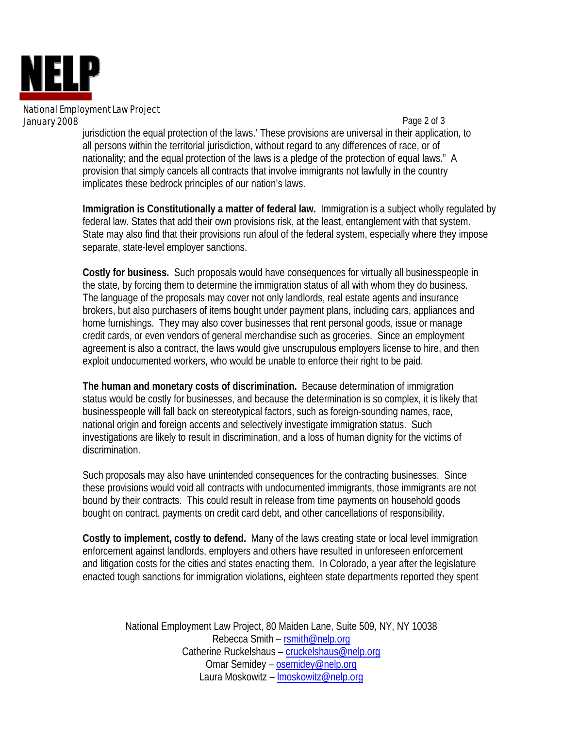

## National Employment Law Project January 2008

 Page 2 of 3 jurisdiction the equal protection of the laws.' These provisions are universal in their application, to all persons within the territorial jurisdiction, without regard to any differences of race, or of nationality; and the equal protection of the laws is a pledge of the protection of equal laws." A provision that simply cancels all contracts that involve immigrants not lawfully in the country implicates these bedrock principles of our nation's laws.

**Immigration is Constitutionally a matter of federal law.** Immigration is a subject wholly regulated by federal law. States that add their own provisions risk, at the least, entanglement with that system. State may also find that their provisions run afoul of the federal system, especially where they impose separate, state-level employer sanctions.

**Costly for business.** Such proposals would have consequences for virtually all businesspeople in the state, by forcing them to determine the immigration status of all with whom they do business. The language of the proposals may cover not only landlords, real estate agents and insurance brokers, but also purchasers of items bought under payment plans, including cars, appliances and home furnishings. They may also cover businesses that rent personal goods, issue or manage credit cards, or even vendors of general merchandise such as groceries. Since an employment agreement is also a contract, the laws would give unscrupulous employers license to hire, and then exploit undocumented workers, who would be unable to enforce their right to be paid.

**The human and monetary costs of discrimination.** Because determination of immigration status would be costly for businesses, and because the determination is so complex, it is likely that businesspeople will fall back on stereotypical factors, such as foreign-sounding names, race, national origin and foreign accents and selectively investigate immigration status. Such investigations are likely to result in discrimination, and a loss of human dignity for the victims of discrimination.

Such proposals may also have unintended consequences for the contracting businesses. Since these provisions would void all contracts with undocumented immigrants, those immigrants are not bound by their contracts. This could result in release from time payments on household goods bought on contract, payments on credit card debt, and other cancellations of responsibility.

**Costly to implement, costly to defend.** Many of the laws creating state or local level immigration enforcement against landlords, employers and others have resulted in unforeseen enforcement and litigation costs for the cities and states enacting them. In Colorado, a year after the legislature enacted tough sanctions for immigration violations, eighteen state departments reported they spent

National Employment Law Project, 80 Maiden Lane, Suite 509, NY, NY 10038 Rebecca Smith – rsmith@nelp.org Catherine Ruckelshaus - cruckelshaus@nelp.org Omar Semidey – osemidey@nelp.org Laura Moskowitz – lmoskowitz@nelp.org